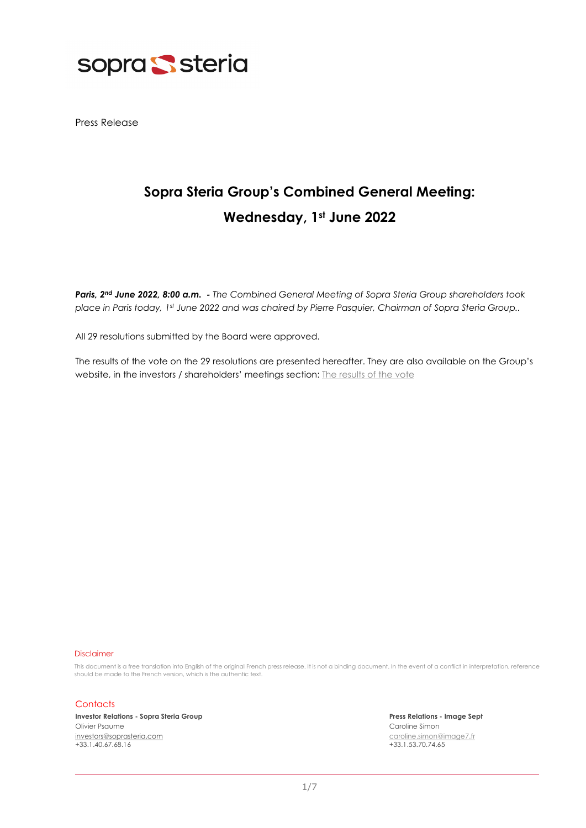

Press Release

## **Sopra Steria Group's Combined General Meeting: Wednesday, 1st June 2022**

*Paris, 2nd June 2022, 8:00 a.m. - The Combined General Meeting of Sopra Steria Group shareholders took place in Paris today, 1st June 2022 and was chaired by Pierre Pasquier, Chairman of Sopra Steria Group..* 

All 29 resolutions submitted by the Board were approved.

The results of the vote on the 29 resolutions are presented hereafter. They are also available on the Group's website, in the investors / shareholders' meetings section: [The results of the vote](mailto:https://www.soprasteria.com/investors/investors-relations-shareholders/shareholders-meetings?year=2022)

## Disclaimer

This document is a free translation into English of the original French press release. It is not a binding document. In the event of a conflict in interpretation, reference should be made to the French version, which is the authentic text.

## **Contacts**

**Investor Relations - Sopra Steria Group Press Relations - Image Sept** Olivier Psaume Caroline Simon [investors@soprasteria.com](mailto:investors@soprasteria.com) [caroline.simon@image7.fr](mailto:caroline.simon@image7.fr) 

 $+33.1.53.70.74.65$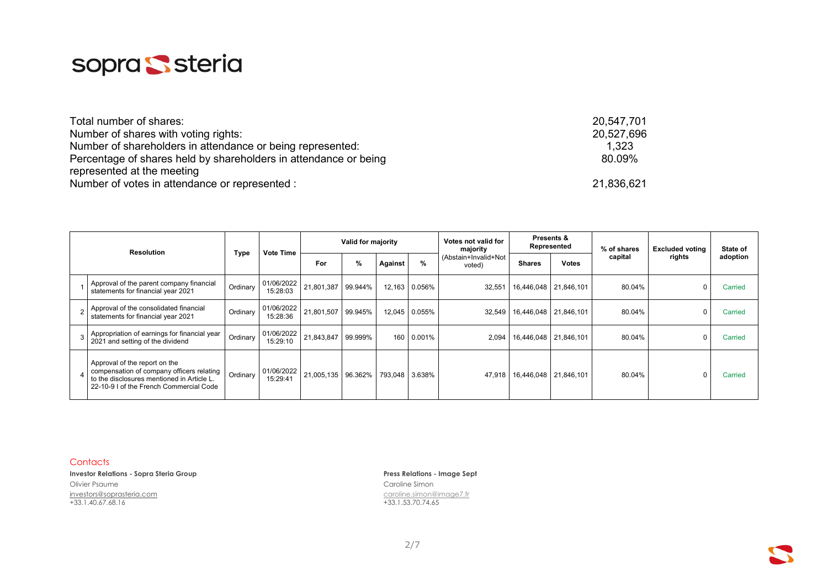

| Total number of shares:                                          | 20,547,701 |
|------------------------------------------------------------------|------------|
| Number of shares with voting rights:                             | 20,527,696 |
| Number of shareholders in attendance or being represented:       | 1,323      |
| Percentage of shares held by shareholders in attendance or being | 80.09%     |
| represented at the meeting                                       |            |
| Number of votes in attendance or represented :                   | 21,836,621 |

| <b>Resolution</b> |                                                                                                                                                                     |          |                        | Valid for majority |   |         |               | Votes not valid for<br>majority  | <b>Presents &amp;</b><br>Represented |                       | % of shares | <b>Excluded voting</b> | State of |
|-------------------|---------------------------------------------------------------------------------------------------------------------------------------------------------------------|----------|------------------------|--------------------|---|---------|---------------|----------------------------------|--------------------------------------|-----------------------|-------------|------------------------|----------|
|                   |                                                                                                                                                                     | Type     | <b>Vote Time</b>       | For                | % | Against | %             | (Abstain+Invalid+Not  <br>voted) | <b>Shares</b>                        | <b>Votes</b>          | capital     | rights                 | adoption |
|                   | Approval of the parent company financial<br>statements for financial year 2021                                                                                      | Ordinary | 01/06/2022<br>15:28:03 | 21,801,387 99.944% |   |         | 12,163 0.056% | 32,551                           |                                      | 16,446,048 21,846,101 | 80.04%      | 0                      | Carried  |
|                   | Approval of the consolidated financial<br>statements for financial year 2021                                                                                        | Ordinary | 01/06/2022<br>15:28:36 | 21,801,507 99.945% |   | 12,045  | 0.055%        | 32,549                           |                                      | 16,446,048 21,846,101 | 80.04%      | $\Omega$               | Carried  |
|                   | Appropriation of earnings for financial year<br>2021 and setting of the dividend                                                                                    | Ordinary | 01/06/2022<br>15:29:10 | 21,843,847 99.999% |   |         | 160 0.001%    | 2,094                            |                                      | 16,446,048 21,846,101 | 80.04%      | $\Omega$               | Carried  |
|                   | Approval of the report on the<br>compensation of company officers relating<br>to the disclosures mentioned in Article L.<br>22-10-9 I of the French Commercial Code | Ordinary | 01/06/2022<br>15:29:41 | 21,005,135 96.362% |   | 793,048 | 3.638%        | 47,918                           |                                      | 16,446,048 21,846,101 | 80.04%      | $\Omega$               | Carried  |

**Investor Relations - Sopra Steria Group Press Relations - Image Sept** Olivier Psaume Caroline Simon Caroline Simon Caroline Simon Caroline Simon Caroline Simon Caroline Simon Caroline Simon Caroline Simon Caroline Simon Caroline Simon Caroline Simon Caroline Simon Caroline Simon Caroline Sim [investors@soprasteria.com](mailto:investors@soprasteria.com) [caroline.simon@image7.fr](mailto:caroline.simon@image7.fr)

 $+33.1.53.70.74.65$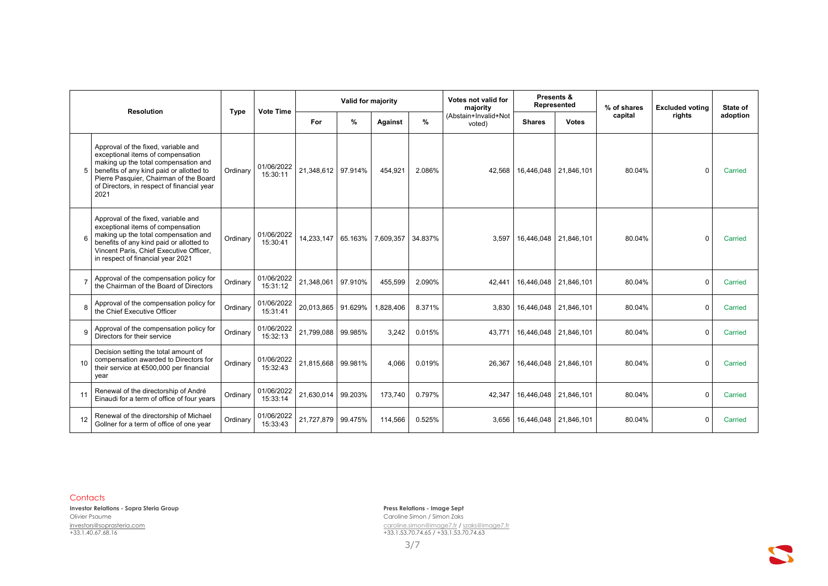|    | <b>Resolution</b>                                                                                                                                                                                                                                            |          | <b>Vote Time</b>       |                    | Valid for majority |           |         | Votes not valid for<br>majority |               | Presents &<br>Represented | % of shares | <b>Excluded voting</b> | State of |
|----|--------------------------------------------------------------------------------------------------------------------------------------------------------------------------------------------------------------------------------------------------------------|----------|------------------------|--------------------|--------------------|-----------|---------|---------------------------------|---------------|---------------------------|-------------|------------------------|----------|
|    |                                                                                                                                                                                                                                                              |          |                        | For                | %                  | Against   | $\%$    | (Abstain+Invalid+Not<br>voted)  | <b>Shares</b> | <b>Votes</b>              | capital     | rights                 | adoption |
| 5  | Approval of the fixed, variable and<br>exceptional items of compensation<br>making up the total compensation and<br>benefits of any kind paid or allotted to<br>Pierre Pasquier, Chairman of the Board<br>of Directors, in respect of financial year<br>2021 | Ordinary | 01/06/2022<br>15:30:11 | 21.348.612 97.914% |                    | 454.921   | 2.086%  | 42.568                          |               | 16,446,048 21,846,101     | 80.04%      | $\Omega$               | Carried  |
|    | Approval of the fixed, variable and<br>exceptional items of compensation<br>making up the total compensation and<br>benefits of any kind paid or allotted to<br>Vincent Paris, Chief Executive Officer,<br>in respect of financial year 2021                 | Ordinary | 01/06/2022<br>15:30:41 | 14,233,147         | 65.163%            | 7,609,357 | 34.837% | 3.597                           |               | 16,446,048 21,846,101     | 80.04%      | $\Omega$               | Carried  |
|    | Approval of the compensation policy for<br>the Chairman of the Board of Directors                                                                                                                                                                            | Ordinary | 01/06/2022<br>15:31:12 | 21,348,061         | 97.910%            | 455,599   | 2.090%  | 42.441                          |               | 16,446,048 21,846,101     | 80.04%      | $\Omega$               | Carried  |
|    | Approval of the compensation policy for<br>the Chief Executive Officer                                                                                                                                                                                       | Ordinary | 01/06/2022<br>15:31:41 | 20.013.865         | 91.629%            | 828,406   | 8.371%  | 3.830                           |               | 16.446.048 21.846.101     | 80.04%      | $\Omega$               | Carried  |
|    | Approval of the compensation policy for<br>Directors for their service                                                                                                                                                                                       | Ordinary | 01/06/2022<br>15:32:13 | 21,799,088         | 99.985%            | 3.242     | 0.015%  | 43.771                          |               | 16,446,048 21,846,101     | 80.04%      | $\Omega$               | Carried  |
| 10 | Decision setting the total amount of<br>compensation awarded to Directors for<br>their service at €500,000 per financial<br>year                                                                                                                             | Ordinary | 01/06/2022<br>15:32:43 | 21,815,668         | 99.981%            | 4.066     | 0.019%  | 26,367                          |               | 16,446,048 21,846,101     | 80.04%      | $\Omega$               | Carried  |
| 11 | Renewal of the directorship of André<br>Einaudi for a term of office of four years                                                                                                                                                                           | Ordinary | 01/06/2022<br>15:33:14 | 21,630,014         | 99.203%            | 173.740   | 0.797%  | 42.347                          | 16,446,048    | 21,846,101                | 80.04%      | $\Omega$               | Carried  |
| 12 | Renewal of the directorship of Michael<br>Gollner for a term of office of one year                                                                                                                                                                           | Ordinary | 01/06/2022<br>15:33:43 | 21,727,879         | 99.475%            | 114,566   | 0.525%  | 3.656                           |               | 16,446,048 21,846,101     | 80.04%      | $\Omega$               | Carried  |

**Investor Relations - Sopra Steria Group Press Relations - Image Sept** Olivier Psaume Caroline Simon / Simon Zaks [investors@soprasteria.com](mailto:investors@soprasteria.com) [caroline.simon@image7.fr](mailto:caroline.simon@image7.fr) [/ szaks@image7.fr](mailto:szaks@image7.fr) +33.1.40.67.68.16 +33.1.53.70.74.65 / +33.1.53.70.74.63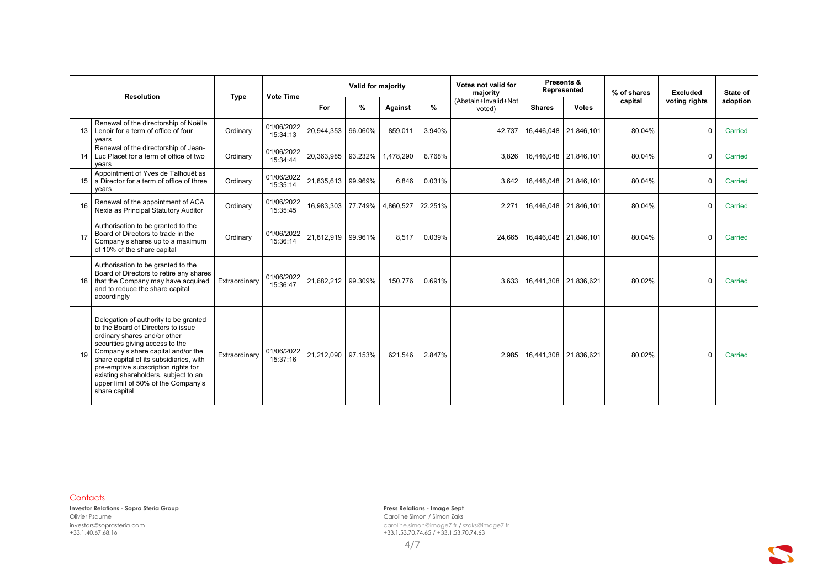|    | <b>Resolution</b>                                                                                                                                                                                                                                                                                                                                                      |               | <b>Vote Time</b>       |                    | Valid for majority |                |         | Votes not valid for<br>majority |                                  | Presents &<br>Represented | % of shares | <b>Excluded</b> | State of |
|----|------------------------------------------------------------------------------------------------------------------------------------------------------------------------------------------------------------------------------------------------------------------------------------------------------------------------------------------------------------------------|---------------|------------------------|--------------------|--------------------|----------------|---------|---------------------------------|----------------------------------|---------------------------|-------------|-----------------|----------|
|    |                                                                                                                                                                                                                                                                                                                                                                        | <b>Type</b>   |                        | For                | %                  | <b>Against</b> | %       | (Abstain+Invalid+Not<br>voted)  | <b>Shares</b>                    | <b>Votes</b>              | capital     | voting rights   | adoption |
|    | Renewal of the directorship of Noëlle<br>13 Lenoir for a term of office of four<br>years                                                                                                                                                                                                                                                                               | Ordinary      | 01/06/2022<br>15:34:13 | 20,944,353 96.060% |                    | 859,011        | 3.940%  | 42.737                          |                                  | 16,446,048 21,846,101     | 80.04%      | $\Omega$        | Carried  |
|    | Renewal of the directorship of Jean-<br>14 Luc Placet for a term of office of two<br>vears                                                                                                                                                                                                                                                                             | Ordinary      | 01/06/2022<br>15:34:44 | 20,363,985         | 93.232%            | 1,478,290      | 6.768%  | 3.826                           |                                  | 16,446,048 21,846,101     | 80.04%      | $\Omega$        | Carried  |
| 15 | Appointment of Yves de Talhouët as<br>a Director for a term of office of three<br>vears                                                                                                                                                                                                                                                                                | Ordinary      | 01/06/2022<br>15:35:14 | 21,835,613 99.969% |                    | 6,846          | 0.031%  | 3,642                           |                                  | 16,446,048 21,846,101     | 80.04%      | $\Omega$        | Carried  |
| 16 | Renewal of the appointment of ACA<br>Nexia as Principal Statutory Auditor                                                                                                                                                                                                                                                                                              | Ordinary      | 01/06/2022<br>15:35:45 | 16,983,303 77.749% |                    | 4,860,527      | 22.251% | 2,271                           |                                  | 16,446,048 21,846,101     | 80.04%      | $\Omega$        | Carried  |
| 17 | Authorisation to be granted to the<br>Board of Directors to trade in the<br>Company's shares up to a maximum<br>of 10% of the share capital                                                                                                                                                                                                                            | Ordinary      | 01/06/2022<br>15:36:14 | 21.812.919 99.961% |                    | 8,517          | 0.039%  |                                 | 24,665   16,446,048   21,846,101 |                           | 80.04%      | $\Omega$        | Carried  |
| 18 | Authorisation to be granted to the<br>Board of Directors to retire any shares<br>that the Company may have acquired<br>and to reduce the share capital<br>accordingly                                                                                                                                                                                                  | Extraordinary | 01/06/2022<br>15:36:47 | 21,682,212 99.309% |                    | 150.776        | 0.691%  |                                 | 3,633   16,441,308   21,836,621  |                           | 80.02%      | $\Omega$        | Carried  |
| 19 | Delegation of authority to be granted<br>to the Board of Directors to issue<br>ordinary shares and/or other<br>securities giving access to the<br>Company's share capital and/or the<br>share capital of its subsidiaries, with<br>pre-emptive subscription rights for<br>existing shareholders, subject to an<br>upper limit of 50% of the Company's<br>share capital | Extraordinary | 01/06/2022<br>15:37:16 | 21.212.090 97.153% |                    | 621.546        | 2.847%  |                                 | 2,985   16,441,308   21,836,621  |                           | 80.02%      | $\Omega$        | Carried  |

**Investor Relations - Sopra Steria Group Press Relations - Image Sept** Olivier Psaume Caroline Simon / Simon Zaks [investors@soprasteria.com](mailto:investors@soprasteria.com) [caroline.simon@image7.fr](mailto:caroline.simon@image7.fr) [/ szaks@image7.fr](mailto:szaks@image7.fr) +33.1.40.67.68.16 +33.1.53.70.74.65 / +33.1.53.70.74.63

 $\mathbf{C}$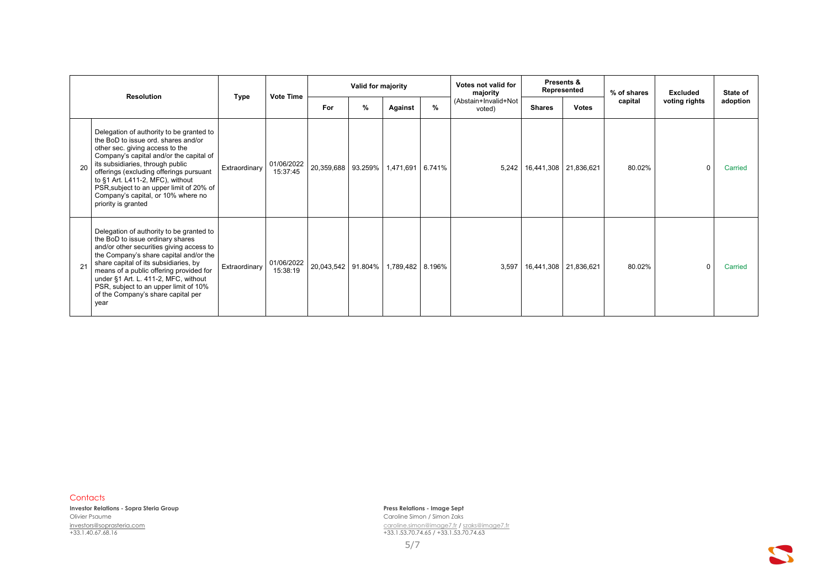| <b>Resolution</b> |                                                                                                                                                                                                                                                                                                                                                                                           | <b>Type</b>   | <b>Vote Time</b>       |                    | Valid for majority |                  |      | Votes not valid for<br>majority |                                 | Presents &<br>Represented | % of shares | Excluded      | State of |
|-------------------|-------------------------------------------------------------------------------------------------------------------------------------------------------------------------------------------------------------------------------------------------------------------------------------------------------------------------------------------------------------------------------------------|---------------|------------------------|--------------------|--------------------|------------------|------|---------------------------------|---------------------------------|---------------------------|-------------|---------------|----------|
|                   |                                                                                                                                                                                                                                                                                                                                                                                           |               |                        | For                | %                  | Against          | $\%$ | (Abstain+Invalid+Not<br>voted)  | <b>Shares</b>                   | <b>Votes</b>              | capital     | voting rights | adoption |
| 20                | Delegation of authority to be granted to<br>the BoD to issue ord, shares and/or<br>other sec. giving access to the<br>Company's capital and/or the capital of<br>its subsidiaries, through public<br>offerings (excluding offerings pursuant<br>to §1 Art. L411-2, MFC), without<br>PSR, subject to an upper limit of 20% of<br>Company's capital, or 10% where no<br>priority is granted | Extraordinary | 01/06/2022<br>15:37:45 | 20,359,688 93.259% |                    | 1,471,691 6.741% |      |                                 | 5,242   16,441,308   21,836,621 |                           | 80.02%      | $\mathbf 0$   | Carried  |
| 21                | Delegation of authority to be granted to<br>the BoD to issue ordinary shares<br>and/or other securities giving access to<br>the Company's share capital and/or the<br>share capital of its subsidiaries, by<br>means of a public offering provided for<br>under §1 Art. L. 411-2, MFC, without<br>PSR, subject to an upper limit of 10%<br>of the Company's share capital per<br>year     | Extraordinary | 01/06/2022<br>15:38:19 | 20,043,542 91.804% |                    | 1,789,482 8.196% |      | 3,597                           | 16,441,308 21,836,621           |                           | 80.02%      | $\mathbf 0$   | Carried  |

**Investor Relations - Sopra Steria Group Press Relations - Image Sept** Olivier Psaume Caroline Simon / Simon Zaks

[investors@soprasteria.com](mailto:investors@soprasteria.com) [caroline.simon@image7.fr](mailto:caroline.simon@image7.fr) [/ szaks@image7.fr](mailto:szaks@image7.fr) +33.1.40.67.68.16 +33.1.53.70.74.65 / +33.1.53.70.74.63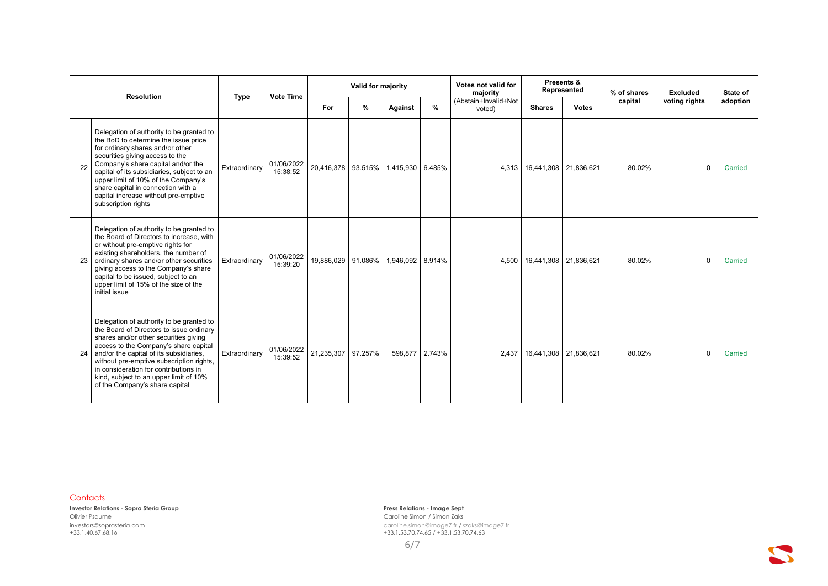|    | <b>Resolution</b>                                                                                                                                                                                                                                                                                                                                                                       |               | <b>Vote Time</b>       |                    | Valid for majority |                  |        | Votes not valid for<br>majority |                             | Presents &<br>Represented | % of shares | <b>Excluded</b> | State of |
|----|-----------------------------------------------------------------------------------------------------------------------------------------------------------------------------------------------------------------------------------------------------------------------------------------------------------------------------------------------------------------------------------------|---------------|------------------------|--------------------|--------------------|------------------|--------|---------------------------------|-----------------------------|---------------------------|-------------|-----------------|----------|
|    |                                                                                                                                                                                                                                                                                                                                                                                         | <b>Type</b>   |                        | For                | $\%$               | <b>Against</b>   | $\%$   | (Abstain+Invalid+Not<br>voted)  | <b>Shares</b>               | <b>Votes</b>              | capital     | voting rights   | adoption |
| 22 | Delegation of authority to be granted to<br>the BoD to determine the issue price<br>for ordinary shares and/or other<br>securities giving access to the<br>Company's share capital and/or the<br>capital of its subsidiaries, subject to an<br>upper limit of 10% of the Company's<br>share capital in connection with a<br>capital increase without pre-emptive<br>subscription rights | Extraordinary | 01/06/2022<br>15:38:52 | 20,416,378 93.515% |                    | 1,415,930 6.485% |        |                                 | 4,313 16,441,308 21,836,621 |                           | 80.02%      | $\Omega$        | Carried  |
|    | Delegation of authority to be granted to<br>the Board of Directors to increase, with<br>or without pre-emptive rights for<br>existing shareholders, the number of<br>ordinary shares and/or other securities<br>giving access to the Company's share<br>capital to be issued, subject to an<br>upper limit of 15% of the size of the<br>initial issue                                   | Extraordinary | 01/06/2022<br>15:39:20 | 19,886,029         | 91.086%            | 1,946,092 8.914% |        |                                 | 4,500 16,441,308 21,836,621 |                           | 80.02%      | $\mathbf 0$     | Carried  |
| 24 | Delegation of authority to be granted to<br>the Board of Directors to issue ordinary<br>shares and/or other securities giving<br>access to the Company's share capital<br>and/or the capital of its subsidiaries,<br>without pre-emptive subscription rights,<br>in consideration for contributions in<br>kind, subject to an upper limit of 10%<br>of the Company's share capital      | Extraordinary | 01/06/2022<br>15:39:52 | 21,235,307         | 97.257%            | 598,877          | 2.743% | 2,437                           | 16,441,308 21,836,621       |                           | 80.02%      | $\Omega$        | Carried  |

**Investor Relations - Sopra Steria Group Press Relations - Image Sept** Olivier Psaume Caroline Simon / Simon Zaks [investors@soprasteria.com](mailto:investors@soprasteria.com) [caroline.simon@image7.fr](mailto:caroline.simon@image7.fr) [/ szaks@image7.fr](mailto:szaks@image7.fr) +33.1.40.67.68.16 +33.1.53.70.74.65 / +33.1.53.70.74.63